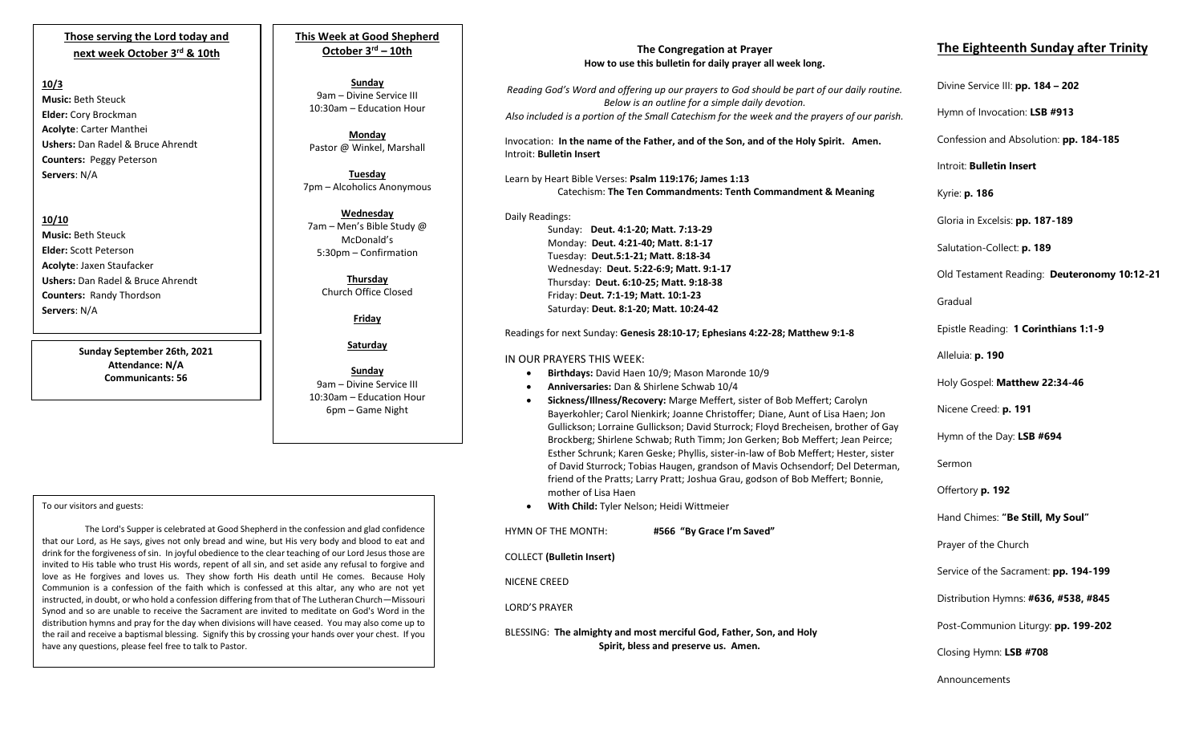## **Those serving the Lord today and next week October 3rd & 10th**

#### **10/3**

**Music:** Beth Steuck **Elder:** Cory Brockman **Acolyte**: Carter Manthei **Ushers:** Dan Radel & Bruce Ahrendt **Counters:** Peggy Peterson **Servers**: N/A

**10/10 Music:** Beth Steuck **Elder:** Scott Peterson **Acolyte**: Jaxen Staufacker **Ushers:** Dan Radel & Bruce Ahrendt **Counters:** Randy Thordson **Servers**: N/A

> **Sunday September 26th, 2021 Attendance: N/A Communicants: 56**

## **This Week at Good Shepherd October 3rd – 10th**

**Sunday** 9am – Divine Service III 10:30am – Education Hour

**Monday** Pastor @ Winkel, Marshall

**Tuesday** 7pm – Alcoholics Anonymous

**Wednesday** 7am – Men's Bible Study @ McDonald's 5:30pm – Confirmation

**Thursday** Church Office Closed

**Friday**

**Saturday**

**Sunday**  9am – Divine Service III 10:30am – Education Hour 6pm – Game Night

#### To our visitors and guests:

Synod and so are unable to receive the Sacrament are invited to meditate on God's Word in the The Lord's Supper is celebrated at Good Shepherd in the confession and glad confidence that our Lord, as He says, gives not only bread and wine, but His very body and blood to eat and drink for the forgiveness of sin. In joyful obedience to the clear teaching of our Lord Jesus those are invited to His table who trust His words, repent of all sin, and set aside any refusal to forgive and love as He forgives and loves us. They show forth His death until He comes. Because Holy Communion is a confession of the faith which is confessed at this altar, any who are not yet instructed, in doubt, or who hold a confession differing from that of The Lutheran Church—Missouri distribution hymns and pray for the day when divisions will have ceased. You may also come up to the rail and receive a baptismal blessing. Signify this by crossing your hands over your chest. If you have any questions, please feel free to talk to Pastor.

### **The Congregation at Prayer How to use this bulletin for daily prayer all week long.**

*Reading God's Word and offering up our prayers to God should be part of our daily routine. Below is an outline for a simple daily devotion. Also included is a portion of the Small Catechism for the week and the prayers of our parish.*

Invocation: **In the name of the Father, and of the Son, and of the Holy Spirit. Amen.** Introit: **Bulletin Insert**

Learn by Heart Bible Verses: **Psalm 119:176; James 1:13** Catechism: **The Ten Commandments: Tenth Commandment & Meaning**

Daily Readings: Sunday: **Deut. 4:1-20; Matt. 7:13-29** Monday: **Deut. 4:21-40; Matt. 8:1-17** Tuesday: **Deut.5:1-21; Matt. 8:18-34** Wednesday: **Deut. 5:22-6:9; Matt. 9:1-17** Thursday: **Deut. 6:10-25; Matt. 9:18-38** Friday: **Deut. 7:1-19; Matt. 10:1-23** Saturday: **Deut. 8:1-20; Matt. 10:24-42**

Readings for next Sunday: **Genesis 28:10-17; Ephesians 4:22-28; Matthew 9:1-8**

#### IN OUR PRAYERS THIS WEEK:

- **Birthdays:** David Haen 10/9; Mason Maronde 10/9
- **Anniversaries:** Dan & Shirlene Schwab 10/4
- **Sickness/Illness/Recovery:** Marge Meffert, sister of Bob Meffert; Carolyn Bayerkohler; Carol Nienkirk; Joanne Christoffer; Diane, Aunt of Lisa Haen; Jon Gullickson; Lorraine Gullickson; David Sturrock; Floyd Brecheisen, brother of Gay Brockberg; Shirlene Schwab; Ruth Timm; Jon Gerken; Bob Meffert; Jean Peirce; Esther Schrunk; Karen Geske; Phyllis, sister-in-law of Bob Meffert; Hester, sister of David Sturrock; Tobias Haugen, grandson of Mavis Ochsendorf; Del Determan, friend of the Pratts; Larry Pratt; Joshua Grau, godson of Bob Meffert; Bonnie, mother of Lisa Haen
- **With Child:** Tyler Nelson; Heidi Wittmeier

HYMN OF THE MONTH: **#566 "By Grace I'm Saved"** COLLECT **(Bulletin Insert)** NICENE CREED LORD'S PRAYER BLESSING: **The almighty and most merciful God, Father, Son, and Holy Spirit, bless and preserve us. Amen.**

# **The Eighteenth Sunday after Trinity**

Divine Service III: **pp. 184 – 202**

Hymn of Invocation: **LSB #913**

Confession and Absolution: **pp. 184-185**

Introit: **Bulletin Insert** 

Kyrie: **p. 186**

Gloria in Excelsis: **pp. 187-189**

Salutation-Collect: **p. 189**

Old Testament Reading: **Deuteronomy 10:12-21**

Gradual

Epistle Reading: **1 Corinthians 1:1-9**

Alleluia: **p. 190**

Holy Gospel: **Matthew 22:34-46**

Nicene Creed: **p. 191**

Hymn of the Day: **LSB #694**

Sermon

Offertory **p. 192**

Hand Chimes: **"Be Still, My Soul"**

Prayer of the Church

Service of the Sacrament: **pp. 194-199**

Distribution Hymns: **#636, #538, #845**

Post-Communion Liturgy: **pp. 199-202** 

Closing Hymn: **LSB #708**

Announcements